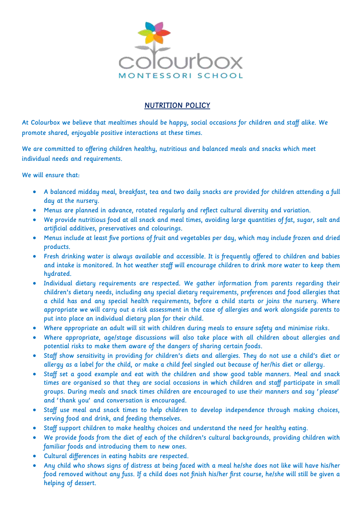

## NUTRITION POLICY

At Colourbox we believe that mealtimes should be happy, social occasions for children and staff alike. We promote shared, enjoyable positive interactions at these times.

We are committed to offering children healthy, nutritious and balanced meals and snacks which meet individual needs and requirements.

We will ensure that:

- A balanced midday meal, breakfast, tea and two daily snacks are provided for children attending a full day at the nursery.
- Menus are planned in advance, rotated regularly and reflect cultural diversity and variation.
- We provide nutritious food at all snack and meal times, avoiding large quantities of fat, sugar, salt and artificial additives, preservatives and colourings.
- Menus include at least five portions of fruit and vegetables per day, which may include frozen and dried products.
- Fresh drinking water is always available and accessible. It is frequently offered to children and babies and intake is monitored. In hot weather staff will encourage children to drink more water to keep them hydrated.
- Individual dietary requirements are respected. We gather information from parents regarding their children's dietary needs, including any special dietary requirements, preferences and food allergies that a child has and any special health requirements, before a child starts or joins the nursery. Where appropriate we will carry out a risk assessment in the case of allergies and work alongside parents to put into place an individual dietary plan for their child.
- Where appropriate an adult will sit with children during meals to ensure safety and minimise risks.
- Where appropriate, age/stage discussions will also take place with all children about allergies and potential risks to make them aware of the dangers of sharing certain foods.
- Staff show sensitivity in providing for children's diets and allergies. They do not use a child's diet or allergy as a label for the child, or make a child feel singled out because of her/his diet or allergy.
- Staff set a good example and eat with the children and show good table manners. Meal and snack times are organised so that they are social occasions in which children and staff participate in small groups. During meals and snack times children are encouraged to use their manners and say 'please' and 'thank you' and conversation is encouraged.
- Staff use meal and snack times to help children to develop independence through making choices, serving food and drink, and feeding themselves.
- Staff support children to make healthy choices and understand the need for healthy eating.
- We provide foods from the diet of each of the children's cultural backgrounds, providing children with familiar foods and introducing them to new ones.
- Cultural differences in eating habits are respected.
- Any child who shows signs of distress at being faced with a meal he/she does not like will have his/her food removed without any fuss. If a child does not finish his/her first course, he/she will still be given a helping of dessert.